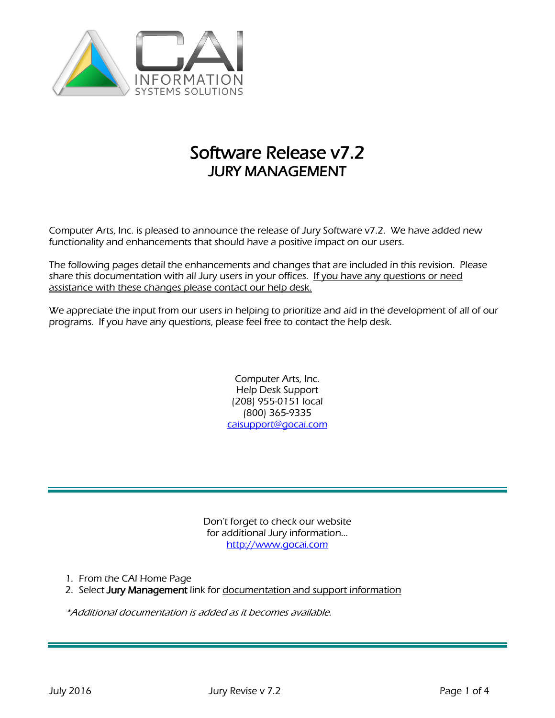

# Software Release v7.2 JURY MANAGEMENT

Computer Arts, Inc. is pleased to announce the release of Jury Software v7.2. We have added new functionality and enhancements that should have a positive impact on our users.

The following pages detail the enhancements and changes that are included in this revision. Please share this documentation with all Jury users in your offices. If you have any questions or need assistance with these changes please contact our help desk.

We appreciate the input from our users in helping to prioritize and aid in the development of all of our programs. If you have any questions, please feel free to contact the help desk.

> Computer Arts, Inc. Help Desk Support (208) 955-0151 local (800) 365-9335 [caisupport@gocai.com](mailto:caisupport@gocai.com)

Don't forget to check our website for additional Jury information… [http://www.gocai.com](http://www.gocai.com/)

1. From the CAI Home Page

2. Select Jury Management link for documentation and support information

\*Additional documentation is added as it becomes available.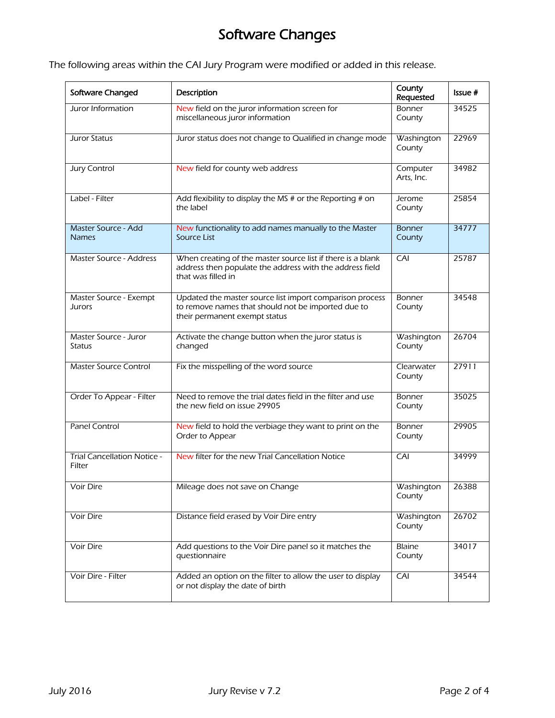## Software Changes

The following areas within the CAI Jury Program were modified or added in this release.

|                                              |                                                                                                                                                 | County                  |         |
|----------------------------------------------|-------------------------------------------------------------------------------------------------------------------------------------------------|-------------------------|---------|
| Software Changed                             | Description                                                                                                                                     | Requested               | Issue # |
| Juror Information                            | New field on the juror information screen for<br>miscellaneous juror information                                                                | Bonner<br>County        | 34525   |
| Juror Status                                 | Juror status does not change to Qualified in change mode                                                                                        | Washington<br>County    | 22969   |
| <b>Jury Control</b>                          | New field for county web address                                                                                                                | Computer<br>Arts, Inc.  | 34982   |
| Label - Filter                               | Add flexibility to display the MS # or the Reporting # on<br>the label                                                                          | Jerome<br>County        | 25854   |
| Master Source - Add<br><b>Names</b>          | New functionality to add names manually to the Master<br>Source List                                                                            | <b>Bonner</b><br>County | 34777   |
| <b>Master Source - Address</b>               | When creating of the master source list if there is a blank<br>address then populate the address with the address field<br>that was filled in   | CAI                     | 25787   |
| Master Source - Exempt<br>Jurors             | Updated the master source list import comparison process<br>to remove names that should not be imported due to<br>their permanent exempt status | Bonner<br>County        | 34548   |
| Master Source - Juror<br><b>Status</b>       | Activate the change button when the juror status is<br>changed                                                                                  | Washington<br>County    | 26704   |
| <b>Master Source Control</b>                 | Fix the misspelling of the word source                                                                                                          | Clearwater<br>County    | 27911   |
| Order To Appear - Filter                     | Need to remove the trial dates field in the filter and use<br>the new field on issue 29905                                                      | Bonner<br>County        | 35025   |
| <b>Panel Control</b>                         | New field to hold the verbiage they want to print on the<br>Order to Appear                                                                     | Bonner<br>County        | 29905   |
| <b>Trial Cancellation Notice -</b><br>Filter | New filter for the new Trial Cancellation Notice                                                                                                | CAI                     | 34999   |
| Voir Dire                                    | Mileage does not save on Change                                                                                                                 | Washington<br>County    | 26388   |
| Voir Dire                                    | Distance field erased by Voir Dire entry                                                                                                        | Washington<br>County    | 26702   |
| Voir Dire                                    | Add questions to the Voir Dire panel so it matches the<br>questionnaire                                                                         | <b>Blaine</b><br>County | 34017   |
| Voir Dire - Filter                           | Added an option on the filter to allow the user to display<br>or not display the date of birth                                                  | CAI                     | 34544   |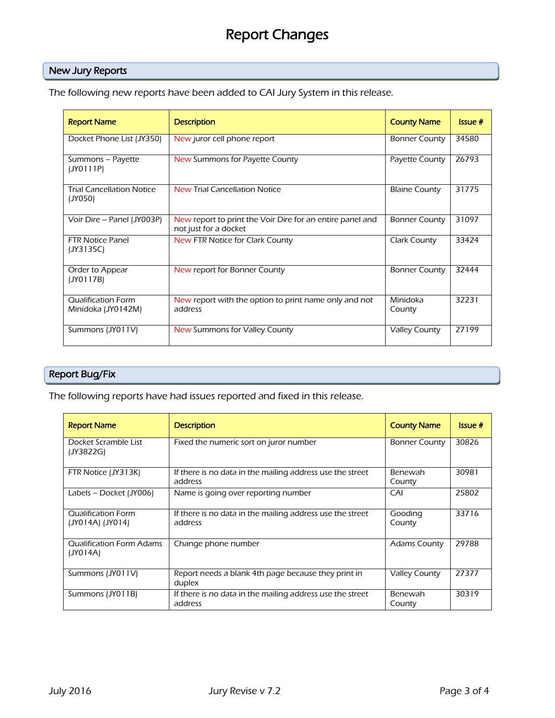## Report Changes

#### New Jury Reports

The following new reports have been added to CAI Jury System in this release.

| <b>Report Name</b>                              | <b>Description</b>                                                                 | <b>County Name</b>   | Is <sub>5</sub> ue# |
|-------------------------------------------------|------------------------------------------------------------------------------------|----------------------|---------------------|
| Docket Phone List (JY350)                       | New juror cell phone report                                                        | <b>Bonner County</b> | 34580               |
| Summons - Payette<br>(JY0111P)                  | New Summons for Payette County                                                     | Payette County       | 26793               |
| <b>Trial Cancellation Notice</b><br>(JY050)     | <b>New Trial Cancellation Notice</b>                                               | <b>Blaine County</b> | 31775               |
| Voir Dire – Panel (JY003P)                      | New report to print the Voir Dire for an entire panel and<br>not just for a docket | <b>Bonner County</b> | 31097               |
| <b>FTR Notice Panel</b><br>(JY3135C)            | New FTR Notice for Clark County                                                    | Clark County         | 33424               |
| Order to Appear<br>(JY0117B)                    | New report for Bonner County                                                       | <b>Bonner County</b> | 32444               |
| <b>Qualification Form</b><br>Minidoka (JY0142M) | New report with the option to print name only and not<br>address                   | Minidoka<br>County   | 32231               |
| Summons (JY011V)                                | New Summons for Valley County                                                      | <b>Valley County</b> | 27199               |

### Report Bug/Fix

The following reports have had issues reported and fixed in this release.

| <b>Report Name</b>                            | <b>Description</b>                                                   | <b>County Name</b>   | Issue# |
|-----------------------------------------------|----------------------------------------------------------------------|----------------------|--------|
| Docket Scramble List<br>(JY3822G)             | Fixed the numeric sort on juror number                               | <b>Bonner County</b> | 30826  |
| FTR Notice (JY313K)                           | If there is no data in the mailing address use the street<br>address | Benewah<br>County    | 30981  |
| Labels – Docket (JY006)                       | Name is going over reporting number                                  | CAI                  | 25802  |
| <b>Qualification Form</b><br>(JY014A) (JY014) | If there is no data in the mailing address use the street<br>address | Gooding<br>County    | 33716  |
| <b>Qualification Form Adams</b><br>(JY014A)   | Change phone number                                                  | <b>Adams County</b>  | 29788  |
| Summons (JY011V)                              | Report needs a blank 4th page because they print in<br>duplex        | <b>Valley County</b> | 27377  |
| Summons (JY011B)                              | If there is no data in the mailing address use the street<br>address | Benewah<br>County    | 30319  |